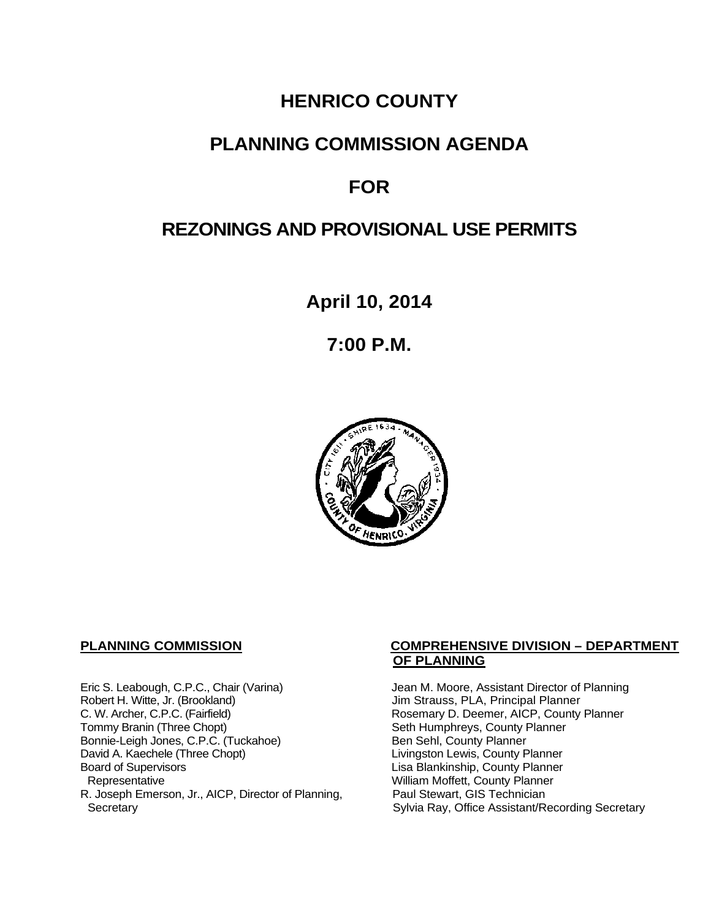# **HENRICO COUNTY**

# **PLANNING COMMISSION AGENDA**

# **FOR**

# **REZONINGS AND PROVISIONAL USE PERMITS**

**April 10, 2014**

**7:00 P.M.**



Eric S. Leabough, C.P.C., Chair (Varina) Jean M. Moore, Assistant Director of Planning<br>Robert H. Witte, Jr. (Brookland) Jim Strauss, PLA, Principal Planner Robert H. Witte, Jr. (Brookland)<br>C. W. Archer, C.P.C. (Fairfield) G. W. Archer, C.P.C. (Fairfield) C. W. Archer, C.P.C. (Fairfield) C. W. Archer, C.P.C. (Fairfield) Rosemary D. Deemer, AICP, County Planner<br>Tommy Branin (Three Chopt) Seth Humphreys, County Planner Bonnie-Leigh Jones, C.P.C. (Tuckahoe)<br>David A. Kaechele (Three Chopt) David A. Kaechele (Three Chopt) Livingston Lewis, County Planner<br>Board of Supervisors County Planner<br>Lisa Blankinship, County Planner Board of Supervisors Lisa Blankinship, County Planner R. Joseph Emerson, Jr., AICP, Director of Planning, Secretary

#### **PLANNING COMMISSION COMPREHENSIVE DIVISION – DEPARTMENT OF PLANNING**

Seth Humphreys, County Planner<br>Ben Sehl, County Planner William Moffett, County Planner<br>Paul Stewart, GIS Technician Sylvia Ray, Office Assistant/Recording Secretary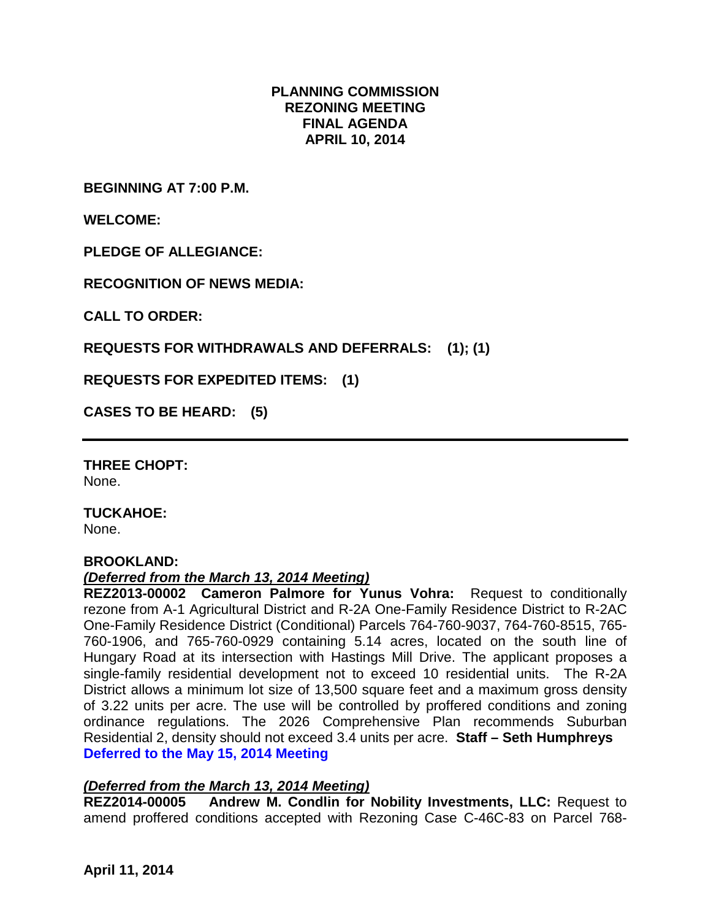### **PLANNING COMMISSION REZONING MEETING FINAL AGENDA APRIL 10, 2014**

**BEGINNING AT 7:00 P.M.**

**WELCOME:**

**PLEDGE OF ALLEGIANCE:**

**RECOGNITION OF NEWS MEDIA:**

**CALL TO ORDER:**

**REQUESTS FOR WITHDRAWALS AND DEFERRALS: (1); (1)**

**REQUESTS FOR EXPEDITED ITEMS: (1)**

**CASES TO BE HEARD: (5)**

**THREE CHOPT:**  None.

**TUCKAHOE:** None.

#### **BROOKLAND:**

#### *(Deferred from the March 13, 2014 Meeting)*

**REZ2013-00002 Cameron Palmore for Yunus Vohra:** Request to conditionally rezone from A-1 Agricultural District and R-2A One-Family Residence District to R-2AC One-Family Residence District (Conditional) Parcels 764-760-9037, 764-760-8515, 765- 760-1906, and 765-760-0929 containing 5.14 acres, located on the south line of Hungary Road at its intersection with Hastings Mill Drive. The applicant proposes a single-family residential development not to exceed 10 residential units. The R-2A District allows a minimum lot size of 13,500 square feet and a maximum gross density of 3.22 units per acre. The use will be controlled by proffered conditions and zoning ordinance regulations. The 2026 Comprehensive Plan recommends Suburban Residential 2, density should not exceed 3.4 units per acre. **Staff – Seth Humphreys Deferred to the May 15, 2014 Meeting**

#### *(Deferred from the March 13, 2014 Meeting)*

**REZ2014-00005 Andrew M. Condlin for Nobility Investments, LLC:** Request to amend proffered conditions accepted with Rezoning Case C-46C-83 on Parcel 768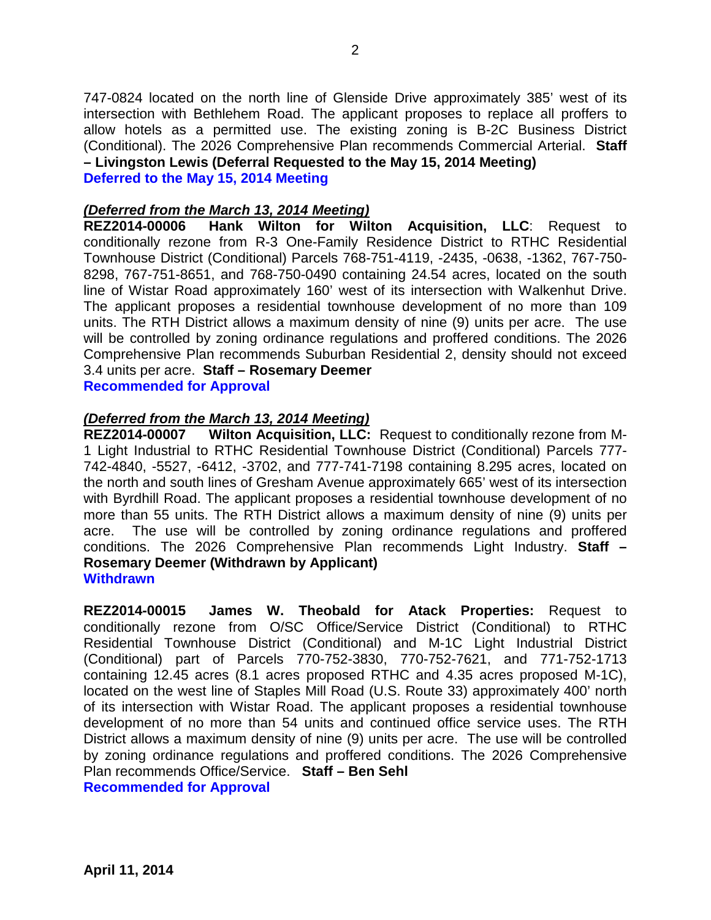747-0824 located on the north line of Glenside Drive approximately 385' west of its intersection with Bethlehem Road. The applicant proposes to replace all proffers to allow hotels as a permitted use. The existing zoning is B-2C Business District (Conditional). The 2026 Comprehensive Plan recommends Commercial Arterial. **Staff – Livingston Lewis (Deferral Requested to the May 15, 2014 Meeting) Deferred to the May 15, 2014 Meeting**

# *(Deferred from the March 13, 2014 Meeting)*

Hank Wilton for Wilton Acquisition, LLC: Request to conditionally rezone from R-3 One-Family Residence District to RTHC Residential Townhouse District (Conditional) Parcels 768-751-4119, -2435, -0638, -1362, 767-750- 8298, 767-751-8651, and 768-750-0490 containing 24.54 acres, located on the south line of Wistar Road approximately 160' west of its intersection with Walkenhut Drive. The applicant proposes a residential townhouse development of no more than 109 units. The RTH District allows a maximum density of nine (9) units per acre. The use will be controlled by zoning ordinance regulations and proffered conditions. The 2026 Comprehensive Plan recommends Suburban Residential 2, density should not exceed 3.4 units per acre. **Staff – Rosemary Deemer**

**Recommended for Approval**

#### *(Deferred from the March 13, 2014 Meeting)*

**REZ2014-00007 Wilton Acquisition, LLC:** Request to conditionally rezone from M-1 Light Industrial to RTHC Residential Townhouse District (Conditional) Parcels 777- 742-4840, -5527, -6412, -3702, and 777-741-7198 containing 8.295 acres, located on the north and south lines of Gresham Avenue approximately 665' west of its intersection with Byrdhill Road. The applicant proposes a residential townhouse development of no more than 55 units. The RTH District allows a maximum density of nine (9) units per acre. The use will be controlled by zoning ordinance regulations and proffered conditions. The 2026 Comprehensive Plan recommends Light Industry. **Staff – Rosemary Deemer (Withdrawn by Applicant) Withdrawn**

**REZ2014-00015 James W. Theobald for Atack Properties:** Request to conditionally rezone from O/SC Office/Service District (Conditional) to RTHC Residential Townhouse District (Conditional) and M-1C Light Industrial District (Conditional) part of Parcels 770-752-3830, 770-752-7621, and 771-752-1713 containing 12.45 acres (8.1 acres proposed RTHC and 4.35 acres proposed M-1C), located on the west line of Staples Mill Road (U.S. Route 33) approximately 400' north of its intersection with Wistar Road. The applicant proposes a residential townhouse development of no more than 54 units and continued office service uses. The RTH District allows a maximum density of nine (9) units per acre. The use will be controlled by zoning ordinance regulations and proffered conditions. The 2026 Comprehensive Plan recommends Office/Service. **Staff – Ben Sehl Recommended for Approval**